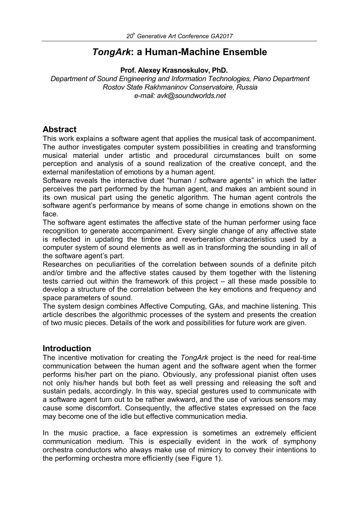# *TongArk***: a Human-Machine Ensemble**

**Prof. Alexey Krasnoskulov, PhD.**

*Department of Sound Engineering and Information Technologies, Piano Department Rostov State Rakhmaninov Conservatoire, Russia e-mail: avk@soundworlds.net*

### **Abstract**

This work explains a software agent that applies the musical task of accompaniment. The author investigates computer system possibilities in creating and transforming musical material under artistic and procedural circumstances built on some perception and analysis of a sound realization of the creative concept, and the external manifestation of emotions by a human agent.

Software reveals the interactive duet "human / software agents" in which the latter perceives the part performed by the human agent, and makes an ambient sound in its own musical part using the genetic algorithm. The human agent controls the software agent's performance by means of some change in emotions shown on the face.

The software agent estimates the affective state of the human performer using face recognition to generate accompaniment. Every single change of any affective state is reflected in updating the timbre and reverberation characteristics used by a computer system of sound elements as well as in transforming the sounding in all of the software agent's part.

Researches on peculiarities of the correlation between sounds of a definite pitch and/or timbre and the affective states caused by them together with the listening tests carried out within the framework of this project – all these made possible to develop a structure of the correlation between the key emotions and frequency and space parameters of sound.

The system design combines Affective Computing, GAs, and machine listening. This article describes the algorithmic processes of the system and presents the creation of two music pieces. Details of the work and possibilities for future work are given.

### **Introduction**

The incentive motivation for creating the *TongArk* project is the need for real-time communication between the human agent and the software agent when the former performs his/her part on the piano. Obviously, any professional pianist often uses not only his/her hands but both feet as well pressing and releasing the soft and sustain pedals, accordingly. In this way, special gestures used to communicate with a software agent turn out to be rather awkward, and the use of various sensors may cause some discomfort. Consequently, the affective states expressed on the face may become one of the idle but effective communication media.

In the music practice, a face expression is sometimes an extremely efficient communication medium. This is especially evident in the work of symphony orchestra conductors who always make use of mimicry to convey their intentions to the performing orchestra more efficiently (see Figure 1).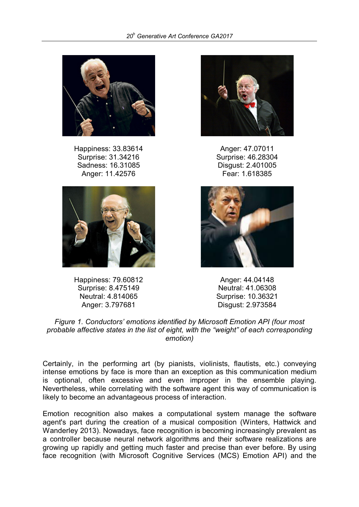

Happiness: 33.83614 Surprise: 31.34216 Sadness: 16.31085 Anger: 11.42576



Happiness: 79.60812 Surprise: 8.475149 Neutral: 4.814065 Anger: 3.797681



Anger: 47.07011 Surprise: 46.28304 Disgust: 2.401005 Fear: 1.618385



Anger: 44.04148 Neutral: 41.06308 Surprise: 10.36321 Disgust: 2.973584

*Figure 1. Conductors' emotions identified by Microsoft Emotion API (four most probable affective states in the list of eight, with the "weight" of each corresponding emotion)*

Certainly, in the performing art (by pianists, violinists, flautists, etc.) conveying intense emotions by face is more than an exception as this communication medium is optional, often excessive and even improper in the ensemble playing. Nevertheless, while correlating with the software agent this way of communication is likely to become an advantageous process of interaction.

Emotion recognition also makes a computational system manage the software agent's part during the creation of a musical composition (Winters, Hattwick and Wanderley 2013). Nowadays, face recognition is becoming increasingly prevalent as a controller because neural network algorithms and their software realizations are growing up rapidly and getting much faster and precise than ever before. By using face recognition (with Microsoft Cognitive Services (MCS) Emotion API) and the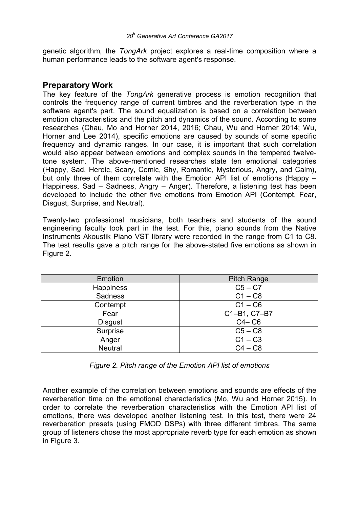genetic algorithm, the *TongArk* project explores a real-time composition where a human performance leads to the software agent's response.

#### **Preparatory Work**

The key feature of the *TongArk* generative process is emotion recognition that controls the frequency range of current timbres and the reverberation type in the software agent's part. The sound equalization is based on a correlation between emotion characteristics and the pitch and dynamics of the sound. According to some researches (Chau, Mo and Horner 2014, 2016; Chau, Wu and Horner 2014; Wu, Horner and Lee 2014), specific emotions are caused by sounds of some specific frequency and dynamic ranges. In our case, it is important that such correlation would also appear between emotions and complex sounds in the tempered twelvetone system. The above-mentioned researches state ten emotional categories (Happy, Sad, Heroic, Scary, Comic, Shy, Romantic, Mysterious, Angry, and Calm), but only three of them correlate with the Emotion API list of emotions (Happy – Happiness, Sad – Sadness, Angry – Anger). Therefore, a listening test has been developed to include the other five emotions from Emotion API (Contempt, Fear, Disgust, Surprise, and Neutral).

Twenty-two professional musicians, both teachers and students of the sound engineering faculty took part in the test. For this, piano sounds from the Native Instruments Akoustik Piano VST library were recorded in the range from C1 to C8. The test results gave a pitch range for the above-stated five emotions as shown in Figure 2.

| Emotion          | <b>Pitch Range</b> |
|------------------|--------------------|
| <b>Happiness</b> | $C5 - C7$          |
| <b>Sadness</b>   | $C1 - C8$          |
| Contempt         | $C1 - C6$          |
| Fear             | C1-B1, C7-B7       |
| <b>Disgust</b>   | $C4 - C6$          |
| Surprise         | $C5 - C8$          |
| Anger            | $C1 - C3$          |
| <b>Neutral</b>   | $C4 - C8$          |

*Figure 2. Pitch range of the Emotion API list of emotions*

Another example of the correlation between emotions and sounds are effects of the reverberation time on the emotional characteristics (Mo, Wu and Horner 2015). In order to correlate the reverberation characteristics with the Emotion API list of emotions, there was developed another listening test. In this test, there were 24 reverberation presets (using FMOD DSPs) with three different timbres. The same group of listeners chose the most appropriate reverb type for each emotion as shown in Figure 3.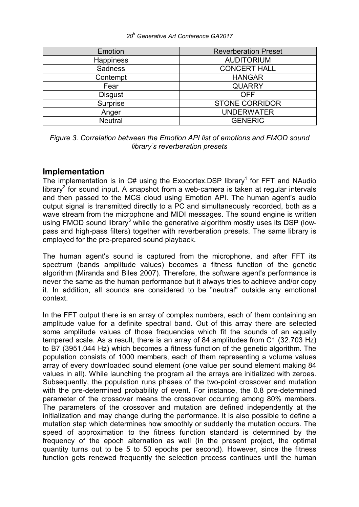#### *20<sup>h</sup> Generative Art Conference GA2017*

| Emotion          | <b>Reverberation Preset</b> |
|------------------|-----------------------------|
| <b>Happiness</b> | <b>AUDITORIUM</b>           |
| <b>Sadness</b>   | <b>CONCERT HALL</b>         |
| Contempt         | <b>HANGAR</b>               |
| Fear             | <b>QUARRY</b>               |
| <b>Disgust</b>   | <b>OFF</b>                  |
| Surprise         | <b>STONE CORRIDOR</b>       |
| Anger            | <b>UNDERWATER</b>           |
| Neutral          | <b>GENERIC</b>              |

| Figure 3. Correlation between the Emotion API list of emotions and FMOD sound |  |                                 |  |  |  |
|-------------------------------------------------------------------------------|--|---------------------------------|--|--|--|
|                                                                               |  | library's reverberation presets |  |  |  |

### **Implementation**

The implementation is in  $C#$  using the Exocortex.DSP library<sup>1</sup> for FFT and NAudio library<sup>2</sup> for sound input. A snapshot from a web-camera is taken at regular intervals and then passed to the MCS cloud using Emotion API. The human agent's audio output signal is transmitted directly to a PC and simultaneously recorded, both as a wave stream from the microphone and MIDI messages. The sound engine is written using FMOD sound library<sup>3</sup> while the generative algorithm mostly uses its DSP (lowpass and high-pass filters) together with reverberation presets. The same library is employed for the pre-prepared sound playback.

The human agent's sound is captured from the microphone, and after FFT its spectrum (bands amplitude values) becomes a fitness function of the genetic algorithm (Miranda and Biles 2007). Therefore, the software agent's performance is never the same as the human performance but it always tries to achieve and/or copy it. In addition, all sounds are considered to be "neutral" outside any emotional context.

In the FFT output there is an array of complex numbers, each of them containing an amplitude value for a definite spectral band. Out of this array there are selected some amplitude values of those frequencies which fit the sounds of an equally tempered scale. As a result, there is an array of 84 amplitudes from C1 (32.703 Hz) to B7 (3951.044 Hz) which becomes a fitness function of the genetic algorithm. The population consists of 1000 members, each of them representing a volume values array of every downloaded sound element (one value per sound element making 84 values in all). While launching the program all the arrays are initialized with zeroes. Subsequently, the population runs phases of the two-point crossover and mutation with the pre-determined probability of event. For instance, the 0.8 pre-determined parameter of the crossover means the crossover occurring among 80% members. The parameters of the crossover and mutation are defined independently at the initialization and may change during the performance. It is also possible to define a mutation step which determines how smoothly or suddenly the mutation occurs. The speed of approximation to the fitness function standard is determined by the frequency of the epoch alternation as well (in the present project, the optimal quantity turns out to be 5 to 50 epochs per second). However, since the fitness function gets renewed frequently the selection process continues until the human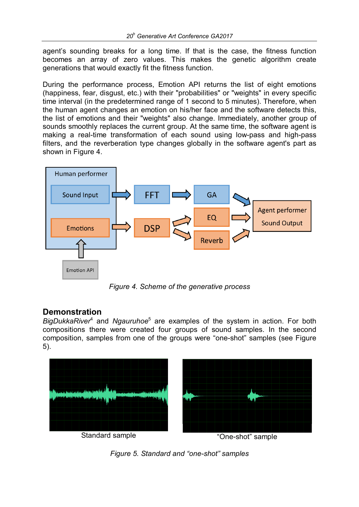agent's sounding breaks for a long time. If that is the case, the fitness function becomes an array of zero values. This makes the genetic algorithm create generations that would exactly fit the fitness function.

During the performance process, Emotion API returns the list of eight emotions (happiness, fear, disgust, etc.) with their "probabilities" or "weights" in every specific time interval (in the predetermined range of 1 second to 5 minutes). Therefore, when the human agent changes an emotion on his/her face and the software detects this, the list of emotions and their "weights" also change. Immediately, another group of sounds smoothly replaces the current group. At the same time, the software agent is making a real-time transformation of each sound using low-pass and high-pass filters, and the reverberation type changes globally in the software agent's part as shown in Figure 4.



*Figure 4. Scheme of the generative process*

## **Demonstration**

BigDukkaRiver<sup>4</sup> and Ngauruhoe<sup>5</sup> are examples of the system in action. For both compositions there were created four groups of sound samples. In the second composition, samples from one of the groups were "one-shot" samples (see Figure 5).



*Figure 5. Standard and "one-shot" samples*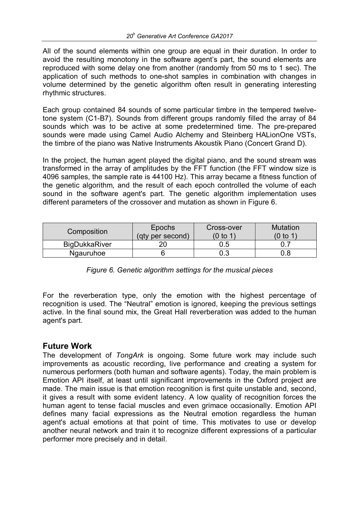All of the sound elements within one group are equal in their duration. In order to avoid the resulting monotony in the software agent's part, the sound elements are reproduced with some delay one from another (randomly from 50 ms to 1 sec). The application of such methods to one-shot samples in combination with changes in volume determined by the genetic algorithm often result in generating interesting rhythmic structures.

Each group contained 84 sounds of some particular timbre in the tempered twelvetone system (C1-B7). Sounds from different groups randomly filled the array of 84 sounds which was to be active at some predetermined time. The pre-prepared sounds were made using Camel Audio Alchemy and Steinberg HALionOne VSTs, the timbre of the piano was Native Instruments Akoustik Piano (Concert Grand D).

In the project, the human agent played the digital piano, and the sound stream was transformed in the array of amplitudes by the FFT function (the FFT window size is 4096 samples, the sample rate is 44100 Hz). This array became a fitness function of the genetic algorithm, and the result of each epoch controlled the volume of each sound in the software agent's part. The genetic algorithm implementation uses different parameters of the crossover and mutation as shown in Figure 6.

| Composition          | Epochs           | Cross-over | <b>Mutation</b> |  |
|----------------------|------------------|------------|-----------------|--|
|                      | (gty per second) | (0 to 1`   | (0 to 1)        |  |
| <b>BigDukkaRiver</b> |                  | 0.5        |                 |  |
| Ngauruhoe            |                  | u.u        |                 |  |

### *Figure 6. Genetic algorithm settings for the musical pieces*

For the reverberation type, only the emotion with the highest percentage of recognition is used. The "Neutral" emotion is ignored, keeping the previous settings active. In the final sound mix, the Great Hall reverberation was added to the human agent's part.

### **Future Work**

The development of *TongArk* is ongoing. Some future work may include such improvements as acoustic recording, live performance and creating a system for numerous performers (both human and software agents). Today, the main problem is Emotion API itself, at least until significant improvements in the Oxford project are made. The main issue is that emotion recognition is first quite unstable and, second, it gives a result with some evident latency. A low quality of recognition forces the human agent to tense facial muscles and even grimace occasionally. Emotion API defines many facial expressions as the Neutral emotion regardless the human agent's actual emotions at that point of time. This motivates to use or develop another neural network and train it to recognize different expressions of a particular performer more precisely and in detail.